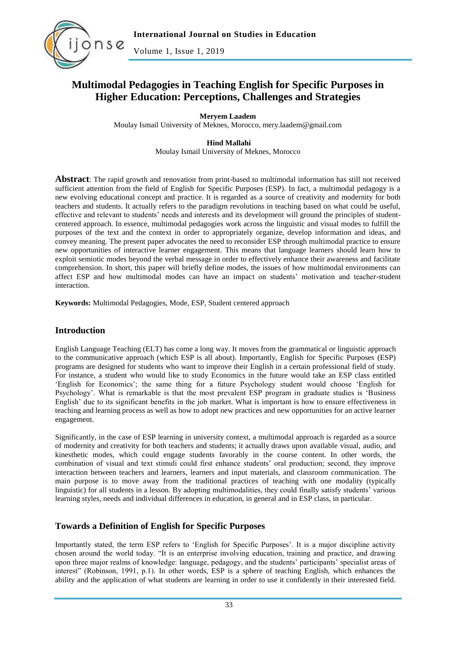

Volume 1, Issue 1, 2019

# **Multimodal Pedagogies in Teaching English for Specific Purposes in Higher Education: Perceptions, Challenges and Strategies**

**Meryem Laadem**

Moulay Ismail University of Meknes, Morocco, mery.laadem@gmail.com

**Hind Mallahi** Moulay Ismail University of Meknes, Morocco

**Abstract**: The rapid growth and renovation from print-based to multimodal information has still not received sufficient attention from the field of English for Specific Purposes (ESP). In fact, a multimodal pedagogy is a new evolving educational concept and practice. It is regarded as a source of creativity and modernity for both teachers and students. It actually refers to the paradigm revolutions in teaching based on what could be useful, effective and relevant to students" needs and interests and its development will ground the principles of studentcentered approach. In essence, multimodal pedagogies work across the linguistic and visual modes to fulfill the purposes of the text and the context in order to appropriately organize, develop information and ideas, and convey meaning. The present paper advocates the need to reconsider ESP through multimodal practice to ensure new opportunities of interactive learner engagement. This means that language learners should learn how to exploit semiotic modes beyond the verbal message in order to effectively enhance their awareness and facilitate comprehension. In short, this paper will briefly define modes, the issues of how multimodal environments can affect ESP and how multimodal modes can have an impact on students' motivation and teacher-student interaction.

**Keywords:** Multimodal Pedagogies, Mode, ESP, Student centered approach

#### **Introduction**

English Language Teaching (ELT) has come a long way. It moves from the grammatical or linguistic approach to the communicative approach (which ESP is all about). Importantly, English for Specific Purposes (ESP) programs are designed for students who want to improve their English in a certain professional field of study. For instance, a student who would like to study Economics in the future would take an ESP class entitled "English for Economics"; the same thing for a future Psychology student would choose "English for Psychology". What is remarkable is that the most prevalent ESP program in graduate studies is "Business English" due to its significant benefits in the job market. What is important is how to ensure effectiveness in teaching and learning process as well as how to adopt new practices and new opportunities for an active learner engagement.

Significantly, in the case of ESP learning in university context, a multimodal approach is regarded as a source of modernity and creativity for both teachers and students; it actually draws upon available visual, audio, and kinesthetic modes, which could engage students favorably in the course content. In other words, the combination of visual and text stimuli could first enhance students" oral production; second, they improve interaction between teachers and learners, learners and input materials, and classroom communication. The main purpose is to move away from the traditional practices of teaching with one modality (typically linguistic) for all students in a lesson. By adopting multimodalities, they could finally satisfy students" various learning styles, needs and individual differences in education, in general and in ESP class, in particular.

### **Towards a Definition of English for Specific Purposes**

Importantly stated, the term ESP refers to "English for Specific Purposes". It is a major discipline activity chosen around the world today. "It is an enterprise involving education, training and practice, and drawing upon three major realms of knowledge: language, pedagogy, and the students" participants" specialist areas of interest" (Robinson, 1991, p.1). In other words, ESP is a sphere of teaching English, which enhances the ability and the application of what students are learning in order to use it confidently in their interested field.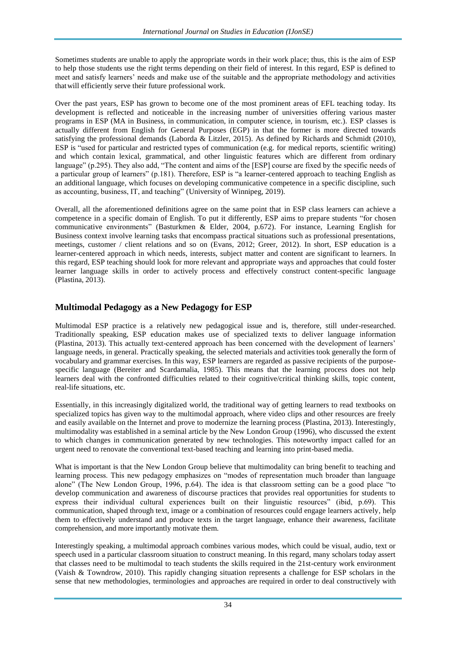Sometimes students are unable to apply the appropriate words in their work place; thus, this is the aim of ESP to help those students use the right terms depending on their field of interest. In this regard, ESP is defined to meet and satisfy learners" needs and make use of the suitable and the appropriate methodology and activities thatwill efficiently serve their future professional work.

Over the past years, ESP has grown to become one of the most prominent areas of EFL teaching today. Its development is reflected and noticeable in the increasing number of universities offering various master programs in ESP (MA in Business, in communication, in computer science, in tourism, etc.). ESP classes is actually different from English for General Purposes (EGP) in that the former is more directed towards satisfying the professional demands (Laborda & Litzler, 2015). As defined by Richards and Schmidt (2010), ESP is "used for particular and restricted types of communication (e.g. for medical reports, scientific writing) and which contain lexical, grammatical, and other linguistic features which are different from ordinary language" (p.295). They also add, "The content and aims of the [ESP] course are fixed by the specific needs of a particular group of learners" (p.181). Therefore, ESP is "a learner-centered approach to teaching English as an additional language, which focuses on developing communicative competence in a specific discipline, such as accounting, business, IT, and teaching" (University of Winnipeg, 2019).

Overall, all the aforementioned definitions agree on the same point that in ESP class learners can achieve a competence in a specific domain of English. To put it differently, ESP aims to prepare students "for chosen communicative environments" (Basturkmen & Elder, 2004, p.672). For instance, Learning English for Business context involve learning tasks that encompass practical situations such as professional presentations, meetings, customer / client relations and so on (Evans, 2012; Greer, 2012). In short, ESP education is a learner-centered approach in which needs, interests, subject matter and content are significant to learners. In this regard, ESP teaching should look for more relevant and appropriate ways and approaches that could foster learner language skills in order to actively process and effectively construct content-specific language (Plastina, 2013).

#### **Multimodal Pedagogy as a New Pedagogy for ESP**

Multimodal ESP practice is a relatively new pedagogical issue and is, therefore, still under-researched. Traditionally speaking, ESP education makes use of specialized texts to deliver language information (Plastina, 2013). This actually text-centered approach has been concerned with the development of learners" language needs, in general. Practically speaking, the selected materials and activities took generally the form of vocabulary and grammar exercises. In this way, ESP learners are regarded as passive recipients of the purposespecific language (Bereiter and Scardamalia, 1985). This means that the learning process does not help learners deal with the confronted difficulties related to their cognitive/critical thinking skills, topic content, real-life situations, etc.

Essentially, in this increasingly digitalized world, the traditional way of getting learners to read textbooks on specialized topics has given way to the multimodal approach, where video clips and other resources are freely and easily available on the Internet and prove to modernize the learning process (Plastina, 2013). Interestingly, multimodality was established in a seminal article by the New London Group (1996), who discussed the extent to which changes in communication generated by new technologies. This noteworthy impact called for an urgent need to renovate the conventional text-based teaching and learning into print-based media.

What is important is that the New London Group believe that multimodality can bring benefit to teaching and learning process. This new pedagogy emphasizes on "modes of representation much broader than language alone" (The New London Group, 1996, p.64). The idea is that classroom setting can be a good place "to develop communication and awareness of discourse practices that provides real opportunities for students to express their individual cultural experiences built on their linguistic resources" (ibid, p.69). This communication, shaped through text, image or a combination of resources could engage learners actively, help them to effectively understand and produce texts in the target language, enhance their awareness, facilitate comprehension, and more importantly motivate them.

Interestingly speaking, a multimodal approach combines various modes, which could be visual, audio, text or speech used in a particular classroom situation to construct meaning. In this regard, many scholars today assert that classes need to be multimodal to teach students the skills required in the 21st-century work environment (Vaish & Towndrow, 2010). This rapidly changing situation represents a challenge for ESP scholars in the sense that new methodologies, terminologies and approaches are required in order to deal constructively with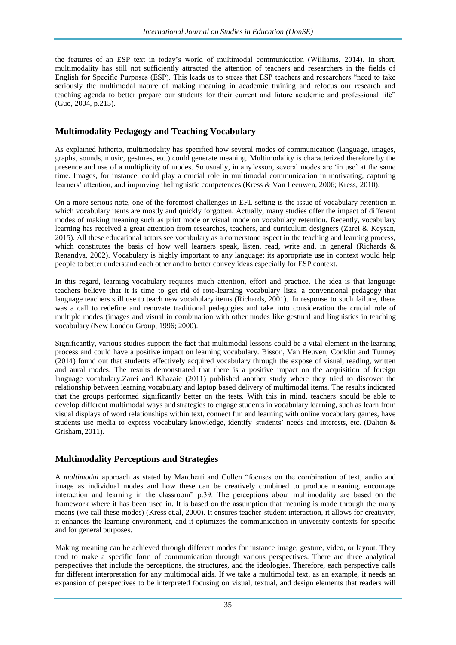the features of an ESP text in today"s world of multimodal communication (Williams, 2014). In short, multimodality has still not sufficiently attracted the attention of teachers and researchers in the fields of English for Specific Purposes (ESP). This leads us to stress that ESP teachers and researchers "need to take seriously the multimodal nature of making meaning in academic training and refocus our research and teaching agenda to better prepare our students for their current and future academic and professional life" (Guo, 2004, p.215).

#### **Multimodality Pedagogy and Teaching Vocabulary**

As explained hitherto, multimodality has specified how several modes of communication (language, images, graphs, sounds, music, gestures, etc.) could generate meaning. Multimodality is characterized therefore by the presence and use of a multiplicity of modes. So usually, in any lesson, several modes are "in use" at the same time. Images, for instance, could play a crucial role in multimodal communication in motivating, capturing learners" attention, and improving thelinguistic competences (Kress & Van Leeuwen, 2006; Kress, 2010).

On a more serious note, one of the foremost challenges in EFL setting is the issue of vocabulary retention in which vocabulary items are mostly and quickly forgotten. Actually, many studies offer the impact of different modes of making meaning such as print mode or visual mode on vocabulary retention. Recently, vocabulary learning has received a great attention from researches, teachers, and curriculum designers (Zarei & Keysan, 2015). All these educational actors see vocabulary as a cornerstone aspect in the teaching and learning process, which constitutes the basis of how well learners speak, listen, read, write and, in general (Richards  $\&$ Renandya, 2002). Vocabulary is highly important to any language; its appropriate use in context would help people to better understand each other and to better convey ideas especially for ESP context.

In this regard, learning vocabulary requires much attention, effort and practice. The idea is that language teachers believe that it is time to get rid of rote-learning vocabulary lists, a conventional pedagogy that language teachers still use to teach new vocabulary items (Richards, 2001). In response to such failure, there was a call to redefine and renovate traditional pedagogies and take into consideration the crucial role of multiple modes (images and visual in combination with other modes like gestural and linguistics in teaching vocabulary (New London Group, 1996; 2000).

Significantly, various studies support the fact that multimodal lessons could be a vital element in the learning process and could have a positive impact on learning vocabulary. Bisson, Van [Heuven,](http://www.scielo.br/scielo.php?script=sci_arttext&pid=S0103-18132016000100129&B2) [Conklin and Tunney](http://www.scielo.br/scielo.php?script=sci_arttext&pid=S0103-18132016000100129&B2)  [\(2014\)](http://www.scielo.br/scielo.php?script=sci_arttext&pid=S0103-18132016000100129&B2) found out that students effectively acquired vocabulary through the expose of visual, reading, written and aural modes. The results demonstrated that there is a positive impact on the acquisition of foreign language vocabular[y.Zarei and Khazaie \(2011\)](http://www.scielo.br/scielo.php?script=sci_arttext&pid=S0103-18132016000100129&B42) published another study where they tried to discover the relationship between learning vocabulary and laptop based delivery of multimodal items. The results indicated that the groups performed significantly better on the tests. With this in mind, teachers should be able to develop different multimodal ways and strategies to engage students in vocabulary learning, such as learn from visual displays of word relationships within text, connect fun and learning with online vocabulary games, have students use media to express vocabulary knowledge, identify students" needs and interests, etc. (Dalton & Grisham, 2011).

#### **Multimodality Perceptions and Strategies**

A *multimodal* approach as stated by Marchetti and Cullen "focuses on the combination of text, audio and image as individual modes and how these can be creatively combined to produce meaning, encourage interaction and learning in the classroom" p.39. The perceptions about multimodality are based on the framework where it has been used in. It is based on the assumption that meaning is made through the many means (we call these modes) (Kress et.al, 2000). It ensures teacher-student interaction, it allows for creativity, it enhances the learning environment, and it optimizes the communication in university contexts for specific and for general purposes.

Making meaning can be achieved through different modes for instance image, gesture, video, or layout. They tend to make a specific form of communication through various perspectives. There are three analytical perspectives that include the perceptions, the structures, and the ideologies. Therefore, each perspective calls for different interpretation for any multimodal aids. If we take a multimodal text, as an example, it needs an expansion of perspectives to be interpreted focusing on visual, textual, and design elements that readers will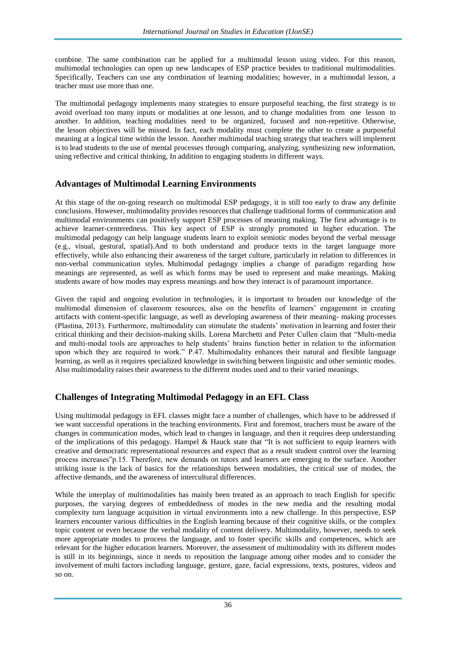combine. The same combination can be applied for a multimodal lesson using video. For this reason, multimodal technologies can open up new landscapes of ESP practice besides to traditional multimodalities. Specifically, Teachers can use any combination of learning modalities; however, in a multimodal lesson, a teacher must use more than one.

The multimodal pedagogy implements many strategies to ensure purposeful teaching, the first strategy is to avoid overload too many inputs or modalities at one lesson, and to change modalities from one lesson to another. In addition, teaching modalities need to be organized, focused and non-repetitive. Otherwise, the lesson objectives will be missed. In fact, each modality must complete the other to create a purposeful meaning at a logical time within the lesson. Another multimodal teaching strategy that teachers will implement is to lead students to the use of mental processes through comparing, analyzing, synthesizing new information, using reflective and critical thinking, In addition to engaging students in different ways.

## **Advantages of Multimodal Learning Environments**

At this stage of the on-going research on multimodal ESP pedagogy, it is still too early to draw any definite conclusions. However, multimodality provides resources that challenge traditional forms of communication and multimodal environments can positively support ESP processes of meaning making. The first advantage is to achieve learner-centeredness. This key aspect of ESP is strongly promoted in higher education. The multimodal pedagogy can help language students learn to exploit semiotic modes beyond the verbal message (e.g., visual, gestural, spatial).And to both understand and produce texts in the target language more effectively, while also enhancing their awareness of the target culture, particularly in relation to differences in non-verbal communication styles. Multimodal pedagogy implies a change of paradigm regarding how meanings are represented, as well as which forms may be used to represent and make meanings. Making students aware of how modes may express meanings and how they interact is of paramount importance.

Given the rapid and ongoing evolution in technologies, it is important to broaden our knowledge of the multimodal dimension of classroom resources, also on the benefits of learners" engagement in creating artifacts with content-specific language, as well as developing awareness of their meaning- making processes (Plastina, 2013). Furthermore, multimodality can stimulate the students" motivation in learning and foster their critical thinking and their decision-making skills. Lorena Marchetti and Peter Cullen claim that "Multi-media and multi-modal tools are approaches to help students" brains function better in relation to the information upon which they are required to work." P.47. Multimodality enhances their natural and flexible language learning, as well as it requires specialized knowledge in switching between linguistic and other semiotic modes. Also multimodality raises their awareness to the different modes used and to their varied meanings.

## **Challenges of Integrating Multimodal Pedagogy in an EFL Class**

Using multimodal pedagogy in EFL classes might face a number of challenges, which have to be addressed if we want successful operations in the teaching environments. First and foremost, teachers must be aware of the changes in communication modes, which lead to changes in language, and then it requires deep understanding of the implications of this pedagogy. Hampel & Hauck state that "It is not sufficient to equip learners with creative and democratic representational resources and expect that as a result student control over the learning process increases"p.15. Therefore, new demands on tutors and learners are emerging to the surface. Another striking issue is the lack of basics for the relationships between modalities, the critical use of modes, the affective demands, and the awareness of intercultural differences.

While the interplay of multimodalities has mainly been treated as an approach to teach English for specific purposes, the varying degrees of embeddedness of modes in the new media and the resulting modal complexity turn language acquisition in virtual environments into a new challenge. In this perspective, ESP learners encounter various difficulties in the English learning because of their cognitive skills, or the complex topic content or even because the verbal modality of content delivery. Multimodality, however, needs to seek more appropriate modes to process the language, and to foster specific skills and competences, which are relevant for the higher education learners. Moreover, the assessment of multimodality with its different modes is still in its beginnings, since it needs to reposition the language among other modes and to consider the involvement of multi factors including language, gesture, gaze, facial expressions, texts, postures, videos and so on.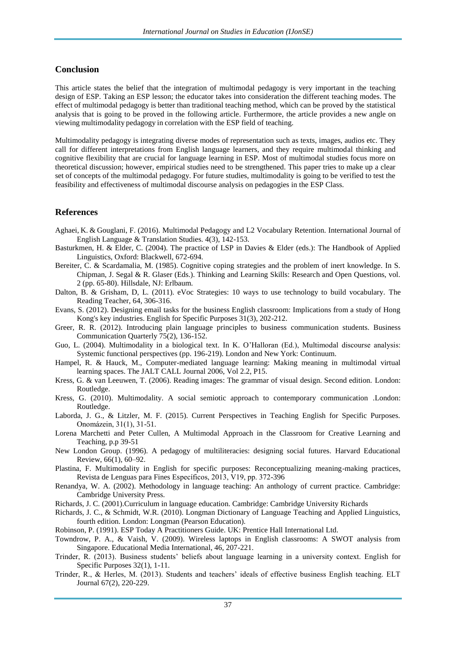#### **Conclusion**

This article states the belief that the integration of multimodal pedagogy is very important in the teaching design of ESP. Taking an ESP lesson; the educator takes into consideration the different teaching modes. The effect of multimodal pedagogy is better than traditional teaching method, which can be proved by the statistical analysis that is going to be proved in the following article. Furthermore, the article provides a new angle on viewing multimodality pedagogy in correlation with the ESP field of teaching.

Multimodality pedagogy is integrating diverse modes of representation such as texts, images, audios etc. They call for different interpretations from English language learners, and they require multimodal thinking and cognitive flexibility that are crucial for language learning in ESP. Most of multimodal studies focus more on theoretical discussion; however, empirical studies need to be strengthened. This paper tries to make up a clear set of concepts of the multimodal pedagogy. For future studies, multimodality is going to be verified to test the feasibility and effectiveness of multimodal discourse analysis on pedagogies in the ESP Class.

#### **References**

- Aghaei, K. & Gouglani, F. (2016). Multimodal Pedagogy and L2 Vocabulary Retention. International Journal of English Language & Translation Studies. 4(3), 142-153.
- Basturkmen, H. & Elder, C. (2004). The practice of LSP in Davies & Elder (eds.): The Handbook of Applied Linguistics, Oxford: Blackwell, 672-694.
- Bereiter, C. & Scardamalia, M. (1985). Cognitive coping strategies and the problem of inert knowledge. In S. Chipman, J. Segal & R. Glaser (Eds.). Thinking and Learning Skills: Research and Open Questions, vol. 2 (pp. 65-80). Hillsdale, NJ: Erlbaum.
- Dalton, B. & Grisham, D, L. (2011). eVoc Strategies: 10 ways to use technology to build vocabulary. The Reading Teacher, 64, 306-316.
- Evans, S. (2012). Designing email tasks for the business English classroom: Implications from a study of Hong Kong's key industries. English for Specific Purposes 31(3), 202-212.
- Greer, R. R. (2012). Introducing plain language principles to business communication students. Business Communication Quarterly 75(2), 136-152.
- Guo, L. (2004). Multimodality in a biological text. In K. O"Halloran (Ed.), Multimodal discourse analysis: Systemic functional perspectives (pp. 196-219). London and New York: Continuum.
- Hampel, R. & Hauck, M., Computer-mediated language learning: Making meaning in multimodal virtual learning spaces. The JALT CALL Journal 2006, Vol 2.2, P15.
- Kress, G. & van Leeuwen, T. (2006). Reading images: The grammar of visual design. Second edition. London: Routledge.
- Kress, G. (2010). Multimodality. A social semiotic approach to contemporary communication .London: Routledge.
- Laborda, J. G., & Litzler, M. F. (2015). Current Perspectives in Teaching English for Specific Purposes. Onomázein, 31(1), 31-51.
- Lorena Marchetti and Peter Cullen, A Multimodal Approach in the Classroom for Creative Learning and Teaching, p.p 39-51
- New London Group. (1996). A pedagogy of multiliteracies: designing social futures. Harvard Educational Review, 66(1), 60–92.
- Plastina, F. Multimodality in English for specific purposes: Reconceptualizing meaning-making practices, Revista de Lenguas para Fines Específicos, 2013, V19, pp. 372-396
- Renandya, W. A. (2002). Methodology in language teaching: An anthology of current practice. Cambridge: Cambridge University Press.
- Richards, J. C. (2001).Curriculum in language education. Cambridge: Cambridge University Richards
- Richards, J. C., & Schmidt, W.R. (2010). Longman Dictionary of Language Teaching and Applied Linguistics, fourth edition. London: Longman (Pearson Education).
- Robinson, P. (1991). ESP Today A Practitioners Guide. UK: Prentice Hall International Ltd.
- Towndrow, P. A., & Vaish, V. (2009). Wireless laptops in English classrooms: A SWOT analysis from Singapore. Educational Media International, 46, 207-221.
- Trinder, R. (2013). Business students" beliefs about language learning in a university context. English for Specific Purposes 32(1), 1-11.
- Trinder, R., & Herles, M. (2013). Students and teachers" ideals of effective business English teaching. ELT Journal 67(2), 220-229.